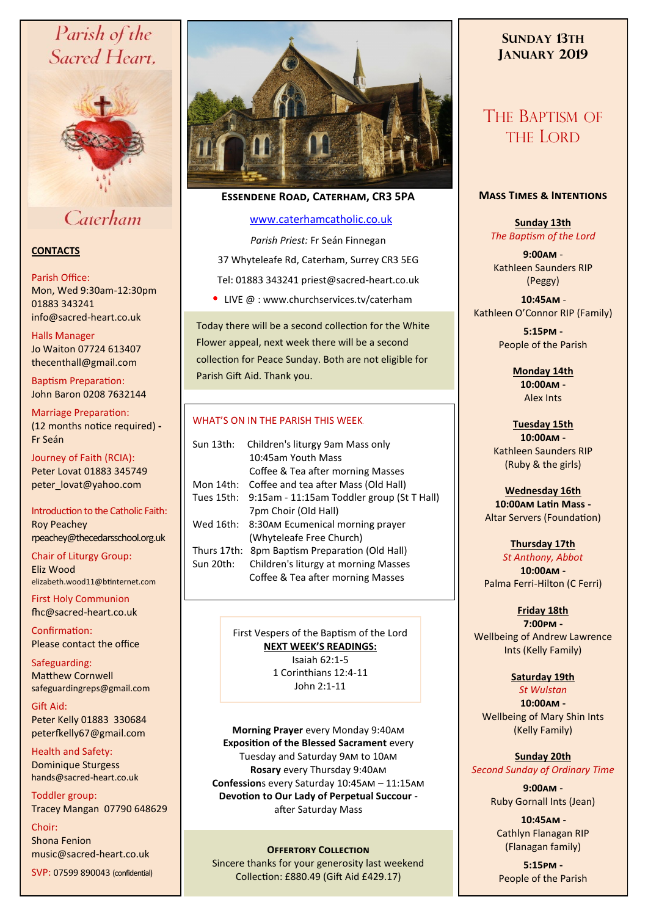# Parish of the Sacred Heart,



# Caterham

## **CONTACTS**

### Parish Office:

Mon, Wed 9:30am-12:30pm 01883 343241 info@sacred-heart.co.uk .

Halls Manager Jo Waiton 07724 613407 thecenthall@gmail.com

Baptism Preparation: John Baron 0208 7632144

Marriage Preparation: (12 months notice required) **-** Fr Seán

Journey of Faith (RCIA): Peter Lovat 01883 345749 peter\_lovat@yahoo.com

Introduction to the Catholic Faith: Roy Peachey rpeachey@thecedarsschool.org.uk

Chair of Liturgy Group: Eliz Wood elizabeth.wood11@btinternet.com

First Holy Communion fhc@sacred-heart.co.uk

Confirmation: Please contact the office

Safeguarding: Matthew Cornwell safeguardingreps@gmail.com

Gift Aid: Peter Kelly 01883 330684 peterfkelly67@gmail.com

Health and Safety: Dominique Sturgess hands@sacred-heart.co.uk

Toddler group: Tracey Mangan 07790 648629

Choir: Shona Fenion music@sacred-heart.co.uk

SVP: 07599 890043 (confidential)



# **Essendene Road, Caterham, CR3 5PA**

### [www.caterhamcatholic.co.uk](http://Www.caterhamcatholic.co.uk)

*Parish Priest:* Fr Seán Finnegan 37 Whyteleafe Rd, Caterham, Surrey CR3 5EG Tel: 01883 343241 priest@sacred-heart.co.uk

• LIVE  $@:www.churchservices.tv/caterham$ 

Today there will be a second collection for the White Flower appeal, next week there will be a second collection for Peace Sunday. Both are not eligible for Parish Gift Aid. Thank you.

### WHAT'S ON IN THE PARISH THIS WEEK.

| Sun 13th:   | Children's liturgy 9am Mass only           |
|-------------|--------------------------------------------|
|             | 10:45am Youth Mass                         |
|             | Coffee & Tea after morning Masses          |
| Mon 14th:   | Coffee and tea after Mass (Old Hall)       |
| Tues 15th:  | 9:15am - 11:15am Toddler group (St T Hall) |
|             | 7pm Choir (Old Hall)                       |
| Wed 16th:   | 8:30AM Ecumenical morning prayer           |
|             | (Whyteleafe Free Church)                   |
| Thurs 17th: | 8pm Baptism Preparation (Old Hall)         |
| Sun 20th:   | Children's liturgy at morning Masses       |
|             | Coffee & Tea after morning Masses          |
|             |                                            |

First Vespers of the Baptism of the Lord **NEXT WEEK'S READINGS:**  Isaiah 62:1-5 1 Corinthians 12:4-11 John 2:1-11

**Morning Prayer** every Monday 9:40am **Exposition of the Blessed Sacrament** every Tuesday and Saturday 9am to 10am **Rosary** every Thursday 9:40am **Confession**s every Saturday 10:45am – 11:15am **Devotion to Our Lady of Perpetual Succour**  after Saturday Mass

### **OFFERTORY COLLECTION**

Sincere thanks for your generosity last weekend Collection: £880.49 (Gift Aid £429.17)

# **SUNDAY 13TH JANUARY 2019**

# THE BAPTISM OF THE LORD

## **Mass Times & Intentions**

**Sunday 13th** *The Baptism of the Lord*

**9:00am** - Kathleen Saunders RIP (Peggy)

.**10:45am** - Kathleen O'Connor RIP (Family)

> **5:15pm -** People of the Parish

> > **Monday 14th 10:00am -**

Alex Ints

**Tuesday 15th 10:00am -** Kathleen Saunders RIP (Ruby & the girls)

**Wednesday 16th 10:00am Latin Mass -** Altar Servers (Foundation)

**Thursday 17th**  *St Anthony, Abbot*  **10:00am -** Palma Ferri-Hilton (C Ferri)

## **Friday 18th**

**7:00pm -** Wellbeing of Andrew Lawrence Ints (Kelly Family)

# **Saturday 19th**

*St Wulstan* **10:00am -** 

Wellbeing of Mary Shin Ints (Kelly Family)

# **Sunday 20th**

*Second Sunday of Ordinary Time*

**9:00am** - Ruby Gornall Ints (Jean)

.**10:45am** - Cathlyn Flanagan RIP (Flanagan family)

**5:15pm -** People of the Parish